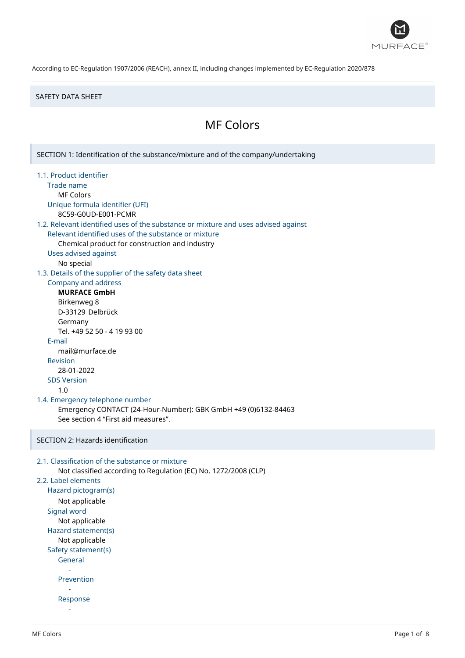

#### SAFETY DATA SHEET

# MF Colors

SECTION 1: Identification of the substance/mixture and of the company/undertaking 1.1. Product identifier Trade name MF Colors Unique formula identifier (UFI) 8C59-G0UD-E001-PCMR 1.2. Relevant identified uses of the substance or mixture and uses advised against Relevant identified uses of the substance or mixture Chemical product for construction and industry Uses advised against No special 1.3. Details of the supplier of the safety data sheet Company and address **MURFACE GmbH** Birkenweg 8 D-33129 Delbrück Germany Tel. +49 52 50 - 4 19 93 00 E-mail mail@murface.de Revision 28-01-2022 SDS Version 1.0 1.4. Emergency telephone number Emergency CONTACT (24-Hour-Number): GBK GmbH +49 (0)6132-84463 See section 4 "First aid measures". SECTION 2: Hazards identification 2.1. Classification of the substance or mixture Not classified according to Regulation (EC) No. 1272/2008 (CLP) 2.2. Label elements Hazard pictogram(s) Not applicable Signal word Not applicable Hazard statement(s) Not applicable Safety statement(s) General - Prevention - Response -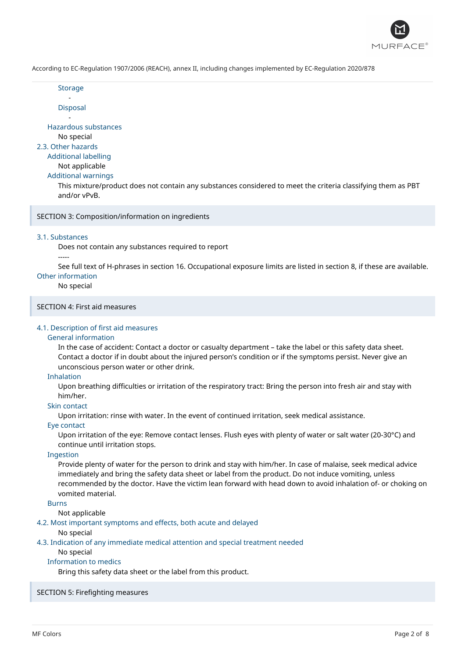

Storage -

Disposal

- Hazardous substances

No special

2.3. Other hazards

# Additional labelling

Not applicable

Additional warnings

This mixture/product does not contain any substances considered to meet the criteria classifying them as PBT and/or vPvB.

SECTION 3: Composition/information on ingredients

#### 3.1. Substances

Does not contain any substances required to report

#### -----

See full text of H-phrases in section 16. Occupational exposure limits are listed in section 8, if these are available. Other information

#### No special

SECTION 4: First aid measures

### 4.1. Description of first aid measures

### General information

In the case of accident: Contact a doctor or casualty department – take the label or this safety data sheet. Contact a doctor if in doubt about the injured person's condition or if the symptoms persist. Never give an unconscious person water or other drink.

#### Inhalation

Upon breathing difficulties or irritation of the respiratory tract: Bring the person into fresh air and stay with him/her.

## Skin contact

Upon irritation: rinse with water. In the event of continued irritation, seek medical assistance.

## Eye contact

Upon irritation of the eye: Remove contact lenses. Flush eyes with plenty of water or salt water (20-30°C) and continue until irritation stops.

#### Ingestion

Provide plenty of water for the person to drink and stay with him/her. In case of malaise, seek medical advice immediately and bring the safety data sheet or label from the product. Do not induce vomiting, unless recommended by the doctor. Have the victim lean forward with head down to avoid inhalation of- or choking on vomited material.

### Burns

Not applicable

## 4.2. Most important symptoms and effects, both acute and delayed

No special

4.3. Indication of any immediate medical attention and special treatment needed

#### No special

# Information to medics

Bring this safety data sheet or the label from this product.

#### SECTION 5: Firefighting measures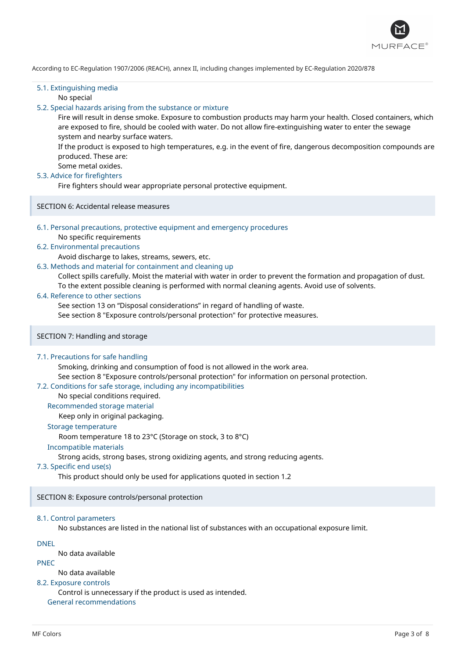

## 5.1. Extinguishing media

No special

### 5.2. Special hazards arising from the substance or mixture

Fire will result in dense smoke. Exposure to combustion products may harm your health. Closed containers, which are exposed to fire, should be cooled with water. Do not allow fire-extinguishing water to enter the sewage system and nearby surface waters.

If the product is exposed to high temperatures, e.g. in the event of fire, dangerous decomposition compounds are produced. These are:

# Some metal oxides.

# 5.3. Advice for firefighters

Fire fighters should wear appropriate personal protective equipment.

SECTION 6: Accidental release measures

## 6.1. Personal precautions, protective equipment and emergency procedures

No specific requirements

### 6.2. Environmental precautions

Avoid discharge to lakes, streams, sewers, etc.

#### 6.3. Methods and material for containment and cleaning up

Collect spills carefully. Moist the material with water in order to prevent the formation and propagation of dust. To the extent possible cleaning is performed with normal cleaning agents. Avoid use of solvents.

#### 6.4. Reference to other sections

See section 13 on "Disposal considerations" in regard of handling of waste.

See section 8 "Exposure controls/personal protection" for protective measures.

#### SECTION 7: Handling and storage

#### 7.1. Precautions for safe handling

Smoking, drinking and consumption of food is not allowed in the work area. See section 8 "Exposure controls/personal protection" for information on personal protection.

#### 7.2. Conditions for safe storage, including any incompatibilities

# No special conditions required.

Recommended storage material

Keep only in original packaging.

# Storage temperature

Room temperature 18 to 23°C (Storage on stock, 3 to 8°C)

#### Incompatible materials

Strong acids, strong bases, strong oxidizing agents, and strong reducing agents.

#### 7.3. Specific end use(s)

This product should only be used for applications quoted in section 1.2

SECTION 8: Exposure controls/personal protection

#### 8.1. Control parameters

No substances are listed in the national list of substances with an occupational exposure limit.

DNEL

No data available

PNEC

No data available

### 8.2. Exposure controls

Control is unnecessary if the product is used as intended.

General recommendations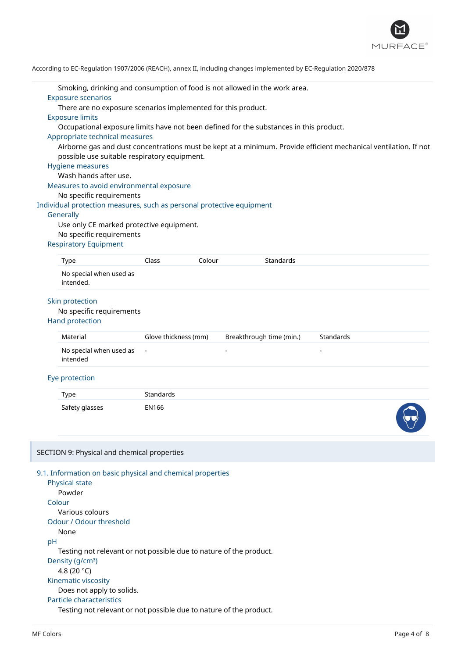

|    | Smoking, drinking and consumption of food is not allowed in the work area.<br><b>Exposure scenarios</b>                                                          |                                                                                        |        |                          |           |  |  |
|----|------------------------------------------------------------------------------------------------------------------------------------------------------------------|----------------------------------------------------------------------------------------|--------|--------------------------|-----------|--|--|
|    | There are no exposure scenarios implemented for this product.                                                                                                    |                                                                                        |        |                          |           |  |  |
|    | <b>Exposure limits</b>                                                                                                                                           |                                                                                        |        |                          |           |  |  |
|    |                                                                                                                                                                  | Occupational exposure limits have not been defined for the substances in this product. |        |                          |           |  |  |
|    | Appropriate technical measures                                                                                                                                   |                                                                                        |        |                          |           |  |  |
|    | Airborne gas and dust concentrations must be kept at a minimum. Provide efficient mechanical ventilation. If not<br>possible use suitable respiratory equipment. |                                                                                        |        |                          |           |  |  |
|    | <b>Hygiene measures</b>                                                                                                                                          |                                                                                        |        |                          |           |  |  |
|    | Wash hands after use.                                                                                                                                            |                                                                                        |        |                          |           |  |  |
|    | Measures to avoid environmental exposure                                                                                                                         |                                                                                        |        |                          |           |  |  |
|    | No specific requirements                                                                                                                                         |                                                                                        |        |                          |           |  |  |
|    | Individual protection measures, such as personal protective equipment                                                                                            |                                                                                        |        |                          |           |  |  |
|    | Generally                                                                                                                                                        |                                                                                        |        |                          |           |  |  |
|    | Use only CE marked protective equipment.                                                                                                                         |                                                                                        |        |                          |           |  |  |
|    | No specific requirements                                                                                                                                         |                                                                                        |        |                          |           |  |  |
|    | <b>Respiratory Equipment</b>                                                                                                                                     |                                                                                        |        |                          |           |  |  |
|    | <b>Type</b>                                                                                                                                                      | Class                                                                                  | Colour | Standards                |           |  |  |
|    | No special when used as                                                                                                                                          |                                                                                        |        |                          |           |  |  |
|    | intended.                                                                                                                                                        |                                                                                        |        |                          |           |  |  |
|    | Skin protection                                                                                                                                                  |                                                                                        |        |                          |           |  |  |
|    | No specific requirements                                                                                                                                         |                                                                                        |        |                          |           |  |  |
|    | <b>Hand protection</b>                                                                                                                                           |                                                                                        |        |                          |           |  |  |
|    | Material                                                                                                                                                         | Glove thickness (mm)                                                                   |        | Breakthrough time (min.) | Standards |  |  |
|    | No special when used as<br>intended                                                                                                                              |                                                                                        |        |                          |           |  |  |
|    | Eye protection                                                                                                                                                   |                                                                                        |        |                          |           |  |  |
|    | <b>Type</b>                                                                                                                                                      | Standards                                                                              |        |                          |           |  |  |
|    | Safety glasses                                                                                                                                                   | EN166                                                                                  |        |                          |           |  |  |
|    | SECTION 9: Physical and chemical properties                                                                                                                      |                                                                                        |        |                          |           |  |  |
|    | 9.1. Information on basic physical and chemical properties                                                                                                       |                                                                                        |        |                          |           |  |  |
|    | Physical state                                                                                                                                                   |                                                                                        |        |                          |           |  |  |
|    | Powder                                                                                                                                                           |                                                                                        |        |                          |           |  |  |
|    | Colour<br>Various colours                                                                                                                                        |                                                                                        |        |                          |           |  |  |
|    | Odour / Odour threshold                                                                                                                                          |                                                                                        |        |                          |           |  |  |
|    | None                                                                                                                                                             |                                                                                        |        |                          |           |  |  |
| pH |                                                                                                                                                                  |                                                                                        |        |                          |           |  |  |
|    | Testing not relevant or not possible due to nature of the product.                                                                                               |                                                                                        |        |                          |           |  |  |
|    | Density (g/cm <sup>3</sup> )                                                                                                                                     |                                                                                        |        |                          |           |  |  |
|    | 4.8 (20 °C)                                                                                                                                                      |                                                                                        |        |                          |           |  |  |
|    | Kinematic viscosity                                                                                                                                              |                                                                                        |        |                          |           |  |  |
|    | Does not apply to solids.                                                                                                                                        |                                                                                        |        |                          |           |  |  |
|    | Particle characteristics                                                                                                                                         |                                                                                        |        |                          |           |  |  |
|    | Testing not relevant or not possible due to nature of the product.                                                                                               |                                                                                        |        |                          |           |  |  |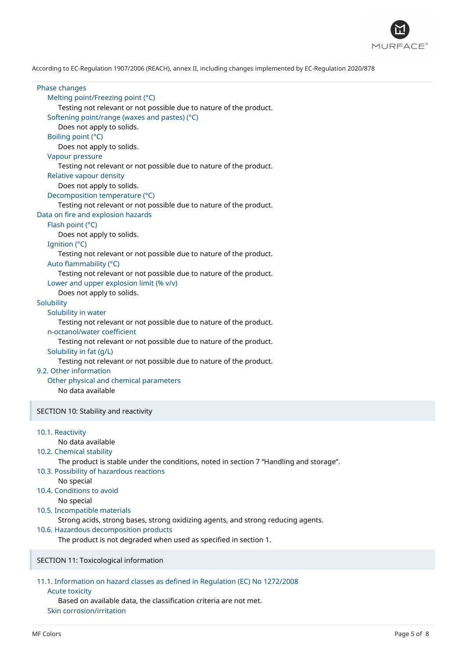

Phase changes Melting point/Freezing point (°C) Testing not relevant or not possible due to nature of the product. Softening point/range (waxes and pastes) (°C) Does not apply to solids. Boiling point (°C) Does not apply to solids. Vapour pressure Testing not relevant or not possible due to nature of the product. Relative vapour density Does not apply to solids. Decomposition temperature (°C) Testing not relevant or not possible due to nature of the product. Data on fire and explosion hazards Flash point (°C) Does not apply to solids. Ignition (°C) Testing not relevant or not possible due to nature of the product. Auto flammability (°C) Testing not relevant or not possible due to nature of the product. Lower and upper explosion limit (% v/v) Does not apply to solids. **Solubility** Solubility in water Testing not relevant or not possible due to nature of the product. n-octanol/water coefficient Testing not relevant or not possible due to nature of the product. Solubility in fat (g/L) Testing not relevant or not possible due to nature of the product. 9.2. Other information Other physical and chemical parameters No data available SECTION 10: Stability and reactivity 10.1. Reactivity No data available 10.2. Chemical stability The product is stable under the conditions, noted in section 7 "Handling and storage". 10.3. Possibility of hazardous reactions No special 10.4. Conditions to avoid No special 10.5. Incompatible materials Strong acids, strong bases, strong oxidizing agents, and strong reducing agents. 10.6. Hazardous decomposition products The product is not degraded when used as specified in section 1. SECTION 11: Toxicological information 11.1. Information on hazard classes as defined in Regulation (EC) No 1272/2008

#### Acute toxicity

Based on available data, the classification criteria are not met. Skin corrosion/irritation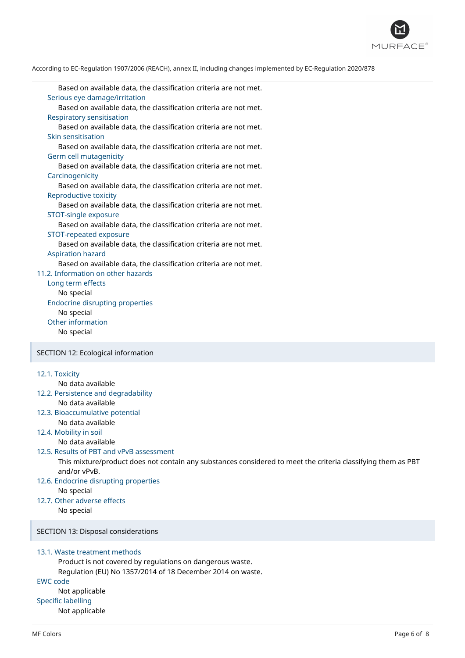

Based on available data, the classification criteria are not met. Serious eye damage/irritation Based on available data, the classification criteria are not met. Respiratory sensitisation Based on available data, the classification criteria are not met. Skin sensitisation Based on available data, the classification criteria are not met. Germ cell mutagenicity Based on available data, the classification criteria are not met. **Carcinogenicity** Based on available data, the classification criteria are not met. Reproductive toxicity Based on available data, the classification criteria are not met. STOT-single exposure Based on available data, the classification criteria are not met. STOT-repeated exposure Based on available data, the classification criteria are not met. Aspiration hazard Based on available data, the classification criteria are not met. 11.2. Information on other hazards Long term effects No special Endocrine disrupting properties No special Other information No special SECTION 12: Ecological information

# 12.1. Toxicity

# No data available

12.2. Persistence and degradability No data available

#### 12.3. Bioaccumulative potential

- No data available
- 12.4. Mobility in soil

No data available

#### 12.5. Results of PBT and vPvB assessment

This mixture/product does not contain any substances considered to meet the criteria classifying them as PBT and/or vPvB.

# 12.6. Endocrine disrupting properties

No special 12.7. Other adverse effects

No special

# SECTION 13: Disposal considerations

# 13.1. Waste treatment methods

Product is not covered by regulations on dangerous waste. Regulation (EU) No 1357/2014 of 18 December 2014 on waste.

#### EWC code

Not applicable Specific labelling Not applicable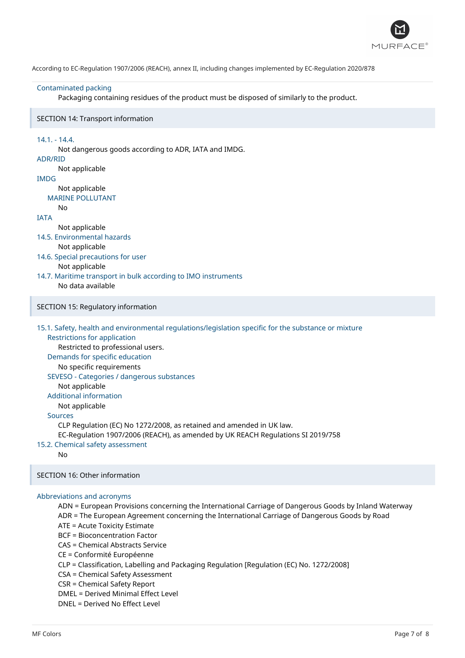

#### Contaminated packing

Packaging containing residues of the product must be disposed of similarly to the product.

#### SECTION 14: Transport information

14.1. - 14.4. Not dangerous goods according to ADR, IATA and IMDG. ADR/RID Not applicable IMDG Not applicable MARINE POLLUTANT No IATA Not applicable 14.5. Environmental hazards Not applicable 14.6. Special precautions for user Not applicable 14.7. Maritime transport in bulk according to IMO instruments No data available SECTION 15: Regulatory information 15.1. Safety, health and environmental regulations/legislation specific for the substance or mixture Restrictions for application Restricted to professional users. Demands for specific education No specific requirements SEVESO - Categories / dangerous substances Not applicable Additional information Not applicable Sources CLP Regulation (EC) No 1272/2008, as retained and amended in UK law. EC-Regulation 1907/2006 (REACH), as amended by UK REACH Regulations SI 2019/758 15.2. Chemical safety assessment No SECTION 16: Other information Abbreviations and acronyms ADN = European Provisions concerning the International Carriage of Dangerous Goods by Inland Waterway ADR = The European Agreement concerning the International Carriage of Dangerous Goods by Road ATE = Acute Toxicity Estimate BCF = Bioconcentration Factor

CAS = Chemical Abstracts Service

CE = Conformité Européenne

CLP = Classification, Labelling and Packaging Regulation [Regulation (EC) No. 1272/2008]

CSA = Chemical Safety Assessment

CSR = Chemical Safety Report

DMEL = Derived Minimal Effect Level

DNEL = Derived No Effect Level